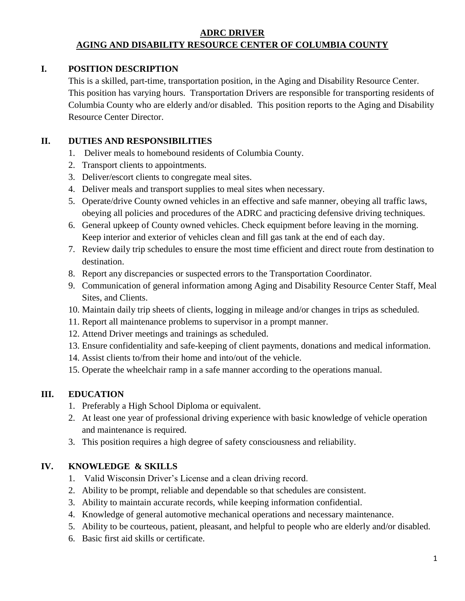### **ADRC DRIVER AGING AND DISABILITY RESOURCE CENTER OF COLUMBIA COUNTY**

### **I. POSITION DESCRIPTION**

This is a skilled, part-time, transportation position, in the Aging and Disability Resource Center. This position has varying hours. Transportation Drivers are responsible for transporting residents of Columbia County who are elderly and/or disabled. This position reports to the Aging and Disability Resource Center Director.

#### **II. DUTIES AND RESPONSIBILITIES**

- 1. Deliver meals to homebound residents of Columbia County.
- 2. Transport clients to appointments.
- 3. Deliver/escort clients to congregate meal sites.
- 4. Deliver meals and transport supplies to meal sites when necessary.
- 5. Operate/drive County owned vehicles in an effective and safe manner, obeying all traffic laws, obeying all policies and procedures of the ADRC and practicing defensive driving techniques.
- 6. General upkeep of County owned vehicles. Check equipment before leaving in the morning. Keep interior and exterior of vehicles clean and fill gas tank at the end of each day.
- 7. Review daily trip schedules to ensure the most time efficient and direct route from destination to destination.
- 8. Report any discrepancies or suspected errors to the Transportation Coordinator.
- 9. Communication of general information among Aging and Disability Resource Center Staff, Meal Sites, and Clients.
- 10. Maintain daily trip sheets of clients, logging in mileage and/or changes in trips as scheduled.
- 11. Report all maintenance problems to supervisor in a prompt manner.
- 12. Attend Driver meetings and trainings as scheduled.
- 13. Ensure confidentiality and safe-keeping of client payments, donations and medical information.
- 14. Assist clients to/from their home and into/out of the vehicle.
- 15. Operate the wheelchair ramp in a safe manner according to the operations manual.

## **III. EDUCATION**

- 1. Preferably a High School Diploma or equivalent.
- 2. At least one year of professional driving experience with basic knowledge of vehicle operation and maintenance is required.
- 3. This position requires a high degree of safety consciousness and reliability.

## **IV. KNOWLEDGE & SKILLS**

- 1. Valid Wisconsin Driver's License and a clean driving record.
- 2. Ability to be prompt, reliable and dependable so that schedules are consistent.
- 3. Ability to maintain accurate records, while keeping information confidential.
- 4. Knowledge of general automotive mechanical operations and necessary maintenance.
- 5. Ability to be courteous, patient, pleasant, and helpful to people who are elderly and/or disabled.
- 6. Basic first aid skills or certificate.